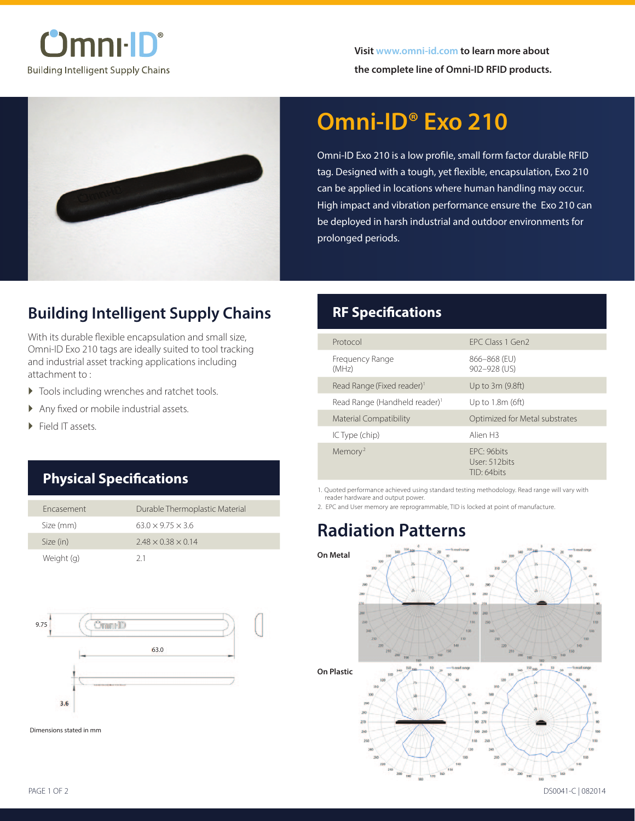



# **Omni-ID® Exo 210**

Omni-ID Exo 210 is a low profile, small form factor durable RFID tag. Designed with a tough, yet flexible, encapsulation, Exo 210 can be applied in locations where human handling may occur. High impact and vibration performance ensure the Exo 210 can be deployed in harsh industrial and outdoor environments for prolonged periods.

## **Building Intelligent Supply Chains**

With its durable flexible encapsulation and small size, Omni-ID Exo 210 tags are ideally suited to tool tracking and industrial asset tracking applications including attachment to :

- � Tools including wrenches and ratchet tools.
- � Any fixed or mobile industrial assets.
- Field IT assets.

## **Physical Specifications**

| Fncasement | Durable Thermoplastic Material |
|------------|--------------------------------|
| Size (mm)  | $63.0 \times 9.75 \times 3.6$  |
| Size (in)  | $2.48 \times 0.38 \times 0.14$ |
| Weight (g) | 21                             |



Dimensions stated in mm

## **RF Specifications**

| FPC Class 1 Gen2                             |
|----------------------------------------------|
| 866-868 (EU)<br>902-928 (US)                 |
| Up to 3m (9.8ft)                             |
| Up to 1.8m (6ft)                             |
| Optimized for Metal substrates               |
| Alien <sub>H3</sub>                          |
| FPC: 96bits<br>User: 512 bits<br>TID: 64bits |
|                                              |

1. Quoted performance achieved using standard testing methodology. Read range will vary with reader hardware and output power.

2. EPC and User memory are reprogrammable, TID is locked at point of manufacture.

# **Radiation Patterns**